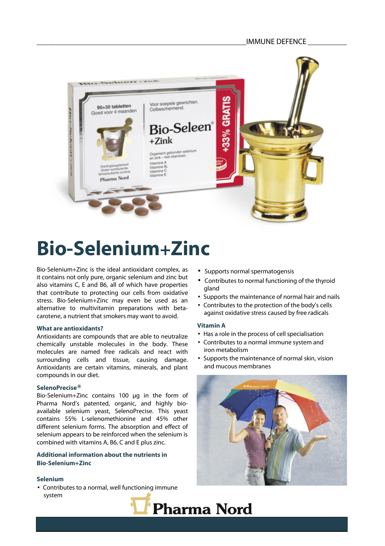

# **Bio-Selenium+Zinc**

Bio-Selenium+Zinc is the ideal antioxidant complex, as it contains not only pure, organic selenium and zinc but also vitamins C, E and B6, all of which have properties that contribute to protecting our cells from oxidative stress. Bio-Selenium+Zinc may even be used as an alternative to multivitamin preparations with betacarotene, a nutrient that smokers may want to avoid.

# **What are antioxidants?**

Antioxidants are compounds that are able to neutralize chemically unstable molecules in the body. These molecules are named free radicals and react with surrounding cells and tissue, causing damage. Antioxidants are certain vitamins, minerals, and plant compounds in our diet.

#### **SelenoPrecise®**

Bio-Selenium+Zinc contains 100 μg in the form of Pharma Nord's patented, organic, and highly bioavailable selenium yeast, SelenoPrecise. This yeast contains 55% L-selenomethionine and 45% other different selenium forms. The absorption and effect of selenium appears to be reinforced when the selenium is combined with vitamins A, B6, C and E plus zinc.

# **Additional information about the nutrients in Bio-Selenium+Zinc**

# **Selenium**

• Contributes to a normal, well functioning immune system

- Supports normal spermatogensis
- Contributes to normal functioning of the thyroid gland
- Supports the maintenance of normal hair and nails
- Contributes to the protection of the body's cells against oxidative stress caused by free radicals

# **Vitamin A**

- Has a role in the process of cell specialisation
- Contributes to a normal immune system and iron metabolism
- Supports the maintenance of normal skin, vision and mucous membranes